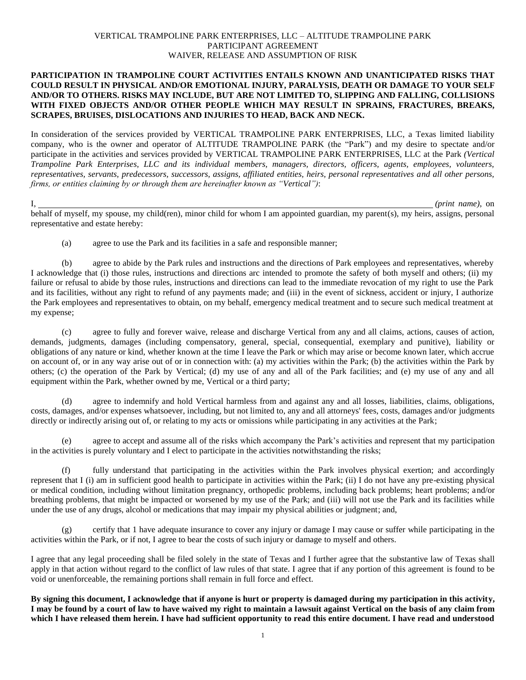## VERTICAL TRAMPOLINE PARK ENTERPRISES, LLC – ALTITUDE TRAMPOLINE PARK PARTICIPANT AGREEMENT WAIVER, RELEASE AND ASSUMPTION OF RISK

## **PARTICIPATION IN TRAMPOLINE COURT ACTIVITIES ENTAILS KNOWN AND UNANTICIPATED RISKS THAT COULD RESULT IN PHYSICAL AND/OR EMOTIONAL INJURY, PARALYSIS, DEATH OR DAMAGE TO YOUR SELF AND/OR TO OTHERS. RISKS MAY INCLUDE, BUT ARE NOT LIMITED TO, SLIPPING AND FALLING, COLLISIONS WITH FIXED OBJECTS AND/OR OTHER PEOPLE WHICH MAY RESULT IN SPRAINS, FRACTURES, BREAKS, SCRAPES, BRUISES, DISLOCATIONS AND INJURIES TO HEAD, BACK AND NECK.**

In consideration of the services provided by VERTICAL TRAMPOLINE PARK ENTERPRISES, LLC, a Texas limited liability company, who is the owner and operator of ALTITUDE TRAMPOLINE PARK (the "Park") and my desire to spectate and/or participate in the activities and services provided by VERTICAL TRAMPOLINE PARK ENTERPRISES, LLC at the Park *(Vertical Trampoline Park Enterprises, LLC and its individual members, managers, directors, officers, agents, employees, volunteers, representatives, servants, predecessors, successors, assigns, affiliated entities, heirs, personal representatives and all other persons, firms, or entities claiming by or through them are hereinafter known as "Vertical")*:

I, *(print name)*, on behalf of myself, my spouse, my child(ren), minor child for whom I am appointed guardian, my parent(s), my heirs, assigns, personal representative and estate hereby:

(a) agree to use the Park and its facilities in a safe and responsible manner;

(b) agree to abide by the Park rules and instructions and the directions of Park employees and representatives, whereby I acknowledge that (i) those rules, instructions and directions arc intended to promote the safety of both myself and others; (ii) my failure or refusal to abide by those rules, instructions and directions can lead to the immediate revocation of my right to use the Park and its facilities, without any right to refund of any payments made; and (iii) in the event of sickness, accident or injury, I authorize the Park employees and representatives to obtain, on my behalf, emergency medical treatment and to secure such medical treatment at my expense;

(c) agree to fully and forever waive, release and discharge Vertical from any and all claims, actions, causes of action, demands, judgments, damages (including compensatory, general, special, consequential, exemplary and punitive), liability or obligations of any nature or kind, whether known at the time I leave the Park or which may arise or become known later, which accrue on account of, or in any way arise out of or in connection with: (a) my activities within the Park; (b) the activities within the Park by others; (c) the operation of the Park by Vertical; (d) my use of any and all of the Park facilities; and (e) my use of any and all equipment within the Park, whether owned by me, Vertical or a third party;

(d) agree to indemnify and hold Vertical harmless from and against any and all losses, liabilities, claims, obligations, costs, damages, and/or expenses whatsoever, including, but not limited to, any and all attorneys' fees, costs, damages and/or judgments directly or indirectly arising out of, or relating to my acts or omissions while participating in any activities at the Park;

(e) agree to accept and assume all of the risks which accompany the Park's activities and represent that my participation in the activities is purely voluntary and I elect to participate in the activities notwithstanding the risks;

(f) fully understand that participating in the activities within the Park involves physical exertion; and accordingly represent that I (i) am in sufficient good health to participate in activities within the Park; (ii) I do not have any pre-existing physical or medical condition, including without limitation pregnancy, orthopedic problems, including back problems; heart problems; and/or breathing problems, that might be impacted or worsened by my use of the Park; and (iii) will not use the Park and its facilities while under the use of any drugs, alcohol or medications that may impair my physical abilities or judgment; and,

(g) certify that 1 have adequate insurance to cover any injury or damage I may cause or suffer while participating in the activities within the Park, or if not, I agree to bear the costs of such injury or damage to myself and others.

I agree that any legal proceeding shall be filed solely in the state of Texas and I further agree that the substantive law of Texas shall apply in that action without regard to the conflict of law rules of that state. I agree that if any portion of this agreement is found to be void or unenforceable, the remaining portions shall remain in full force and effect.

**By signing this document, I acknowledge that if anyone is hurt or property is damaged during my participation in this activity, I may be found by a court of law to have waived my right to maintain a lawsuit against Vertical on the basis of any claim from which I have released them herein. I have had sufficient opportunity to read this entire document. I have read and understood**